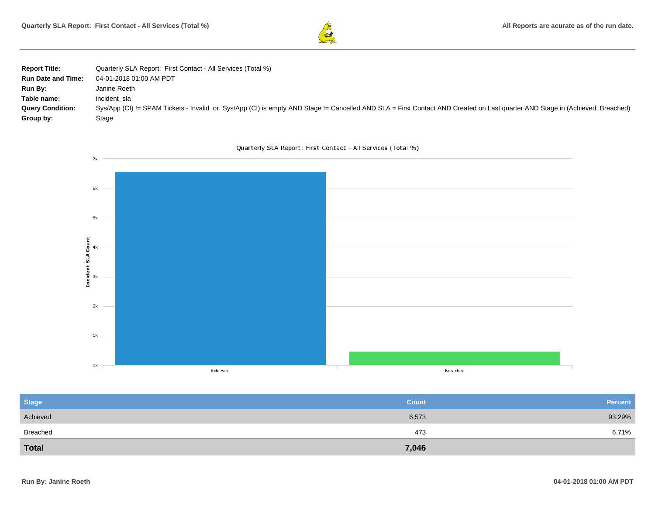

| <b>Report Title:</b>      | Quarterly SLA Report: First Contact - All Services (Total %)                                                                                                                   |
|---------------------------|--------------------------------------------------------------------------------------------------------------------------------------------------------------------------------|
| <b>Run Date and Time:</b> | 04-01-2018 01:00 AM PDT                                                                                                                                                        |
| Run By:                   | Janine Roeth                                                                                                                                                                   |
| Table name:               | incident sla                                                                                                                                                                   |
| <b>Query Condition:</b>   | Sys/App (CI) != SPAM Tickets - Invalid .or. Sys/App (CI) is empty AND Stage != Cancelled AND SLA = First Contact AND Created on Last quarter AND Stage in (Achieved, Breached) |
| Group by:                 | Stage                                                                                                                                                                          |





| <b>Stage</b> | <b>Count</b> | <b>Percent</b> |
|--------------|--------------|----------------|
| Achieved     | 6,573        | 93.29%         |
| Breached     | 473          | 6.71%          |
| <b>Total</b> | 7,046        |                |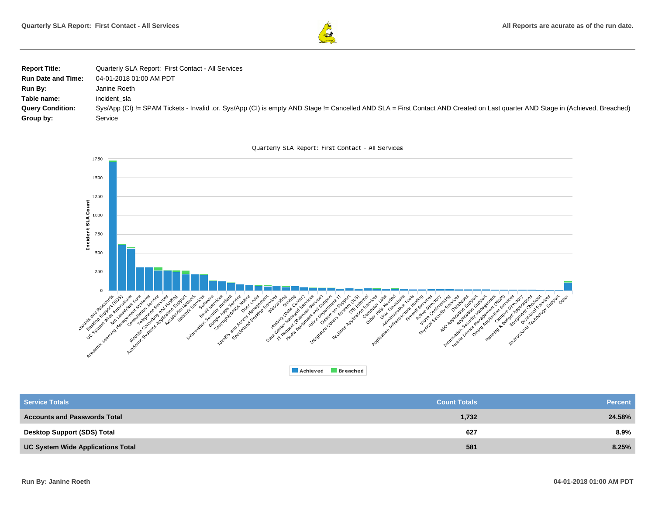

| <b>Report Title:</b>      | Quarterly SLA Report: First Contact - All Services                                                                                                                             |
|---------------------------|--------------------------------------------------------------------------------------------------------------------------------------------------------------------------------|
| <b>Run Date and Time:</b> | 04-01-2018 01:00 AM PDT                                                                                                                                                        |
| <b>Run By:</b>            | Janine Roeth                                                                                                                                                                   |
| Table name:               | incident sla                                                                                                                                                                   |
| <b>Query Condition:</b>   | Sys/App (CI) != SPAM Tickets - Invalid .or. Sys/App (CI) is empty AND Stage != Cancelled AND SLA = First Contact AND Created on Last quarter AND Stage in (Achieved, Breached) |
| Group by:                 | Service                                                                                                                                                                        |





| <b>Service Totals</b>                    | <b>Count Totals</b> | <b>Percent</b> |
|------------------------------------------|---------------------|----------------|
| <b>Accounts and Passwords Total</b>      | 1,732               | 24.58%         |
| <b>Desktop Support (SDS) Total</b>       | 627                 | $8.9\%$        |
| <b>UC System Wide Applications Total</b> | 581                 | 8.25%          |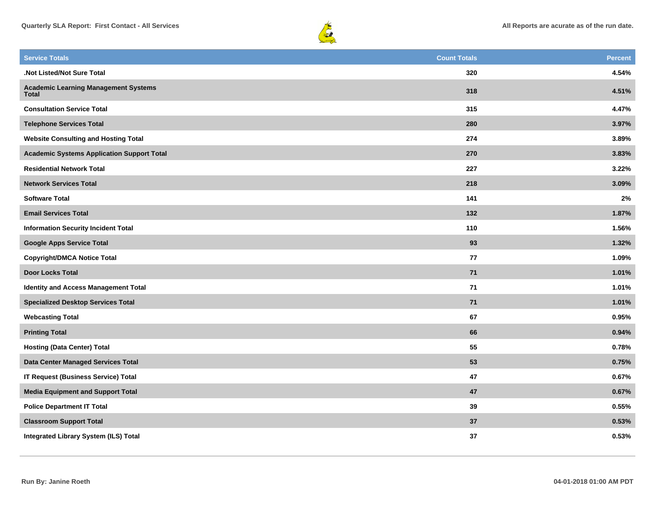



| <b>Service Totals</b>                                       | <b>Count Totals</b> | <b>Percent</b> |
|-------------------------------------------------------------|---------------------|----------------|
| .Not Listed/Not Sure Total                                  | 320                 | 4.54%          |
| <b>Academic Learning Management Systems</b><br><b>Total</b> | 318                 | 4.51%          |
| <b>Consultation Service Total</b>                           | 315                 | 4.47%          |
| <b>Telephone Services Total</b>                             | 280                 | 3.97%          |
| <b>Website Consulting and Hosting Total</b>                 | 274                 | 3.89%          |
| <b>Academic Systems Application Support Total</b>           | 270                 | 3.83%          |
| <b>Residential Network Total</b>                            | 227                 | 3.22%          |
| <b>Network Services Total</b>                               | 218                 | 3.09%          |
| <b>Software Total</b>                                       | 141                 | $2\%$          |
| <b>Email Services Total</b>                                 | 132                 | 1.87%          |
| <b>Information Security Incident Total</b>                  | 110                 | 1.56%          |
| <b>Google Apps Service Total</b>                            | 93                  | 1.32%          |
| <b>Copyright/DMCA Notice Total</b>                          | 77                  | 1.09%          |
| <b>Door Locks Total</b>                                     | 71                  | 1.01%          |
| Identity and Access Management Total                        | 71                  | 1.01%          |
| <b>Specialized Desktop Services Total</b>                   | $71$                | 1.01%          |
| <b>Webcasting Total</b>                                     | 67                  | 0.95%          |
| <b>Printing Total</b>                                       | 66                  | 0.94%          |
| <b>Hosting (Data Center) Total</b>                          | 55                  | 0.78%          |
| Data Center Managed Services Total                          | 53                  | 0.75%          |
| <b>IT Request (Business Service) Total</b>                  | 47                  | 0.67%          |
| <b>Media Equipment and Support Total</b>                    | 47                  | 0.67%          |
| <b>Police Department IT Total</b>                           | 39                  | 0.55%          |
| <b>Classroom Support Total</b>                              | 37                  | 0.53%          |
| Integrated Library System (ILS) Total                       | 37                  | 0.53%          |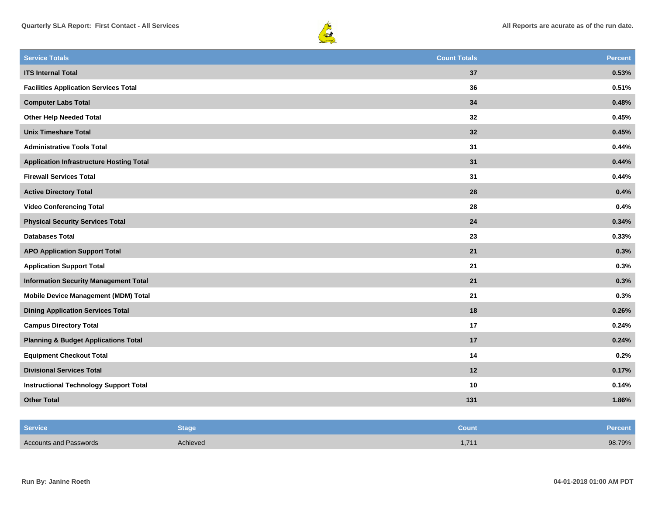



| <b>Service Totals</b>                           | <b>Count Totals</b> | <b>Percent</b> |
|-------------------------------------------------|---------------------|----------------|
| <b>ITS Internal Total</b>                       | 37                  | 0.53%          |
| <b>Facilities Application Services Total</b>    | 36                  | 0.51%          |
| <b>Computer Labs Total</b>                      | 34                  | 0.48%          |
| <b>Other Help Needed Total</b>                  | 32                  | 0.45%          |
| <b>Unix Timeshare Total</b>                     | 32                  | 0.45%          |
| <b>Administrative Tools Total</b>               | 31                  | 0.44%          |
| <b>Application Infrastructure Hosting Total</b> | 31                  | 0.44%          |
| <b>Firewall Services Total</b>                  | 31                  | 0.44%          |
| <b>Active Directory Total</b>                   | 28                  | 0.4%           |
| <b>Video Conferencing Total</b>                 | 28                  | 0.4%           |
| <b>Physical Security Services Total</b>         | 24                  | 0.34%          |
| <b>Databases Total</b>                          | 23                  | 0.33%          |
| <b>APO Application Support Total</b>            | 21                  | 0.3%           |
| <b>Application Support Total</b>                | 21                  | 0.3%           |
| <b>Information Security Management Total</b>    | 21                  | 0.3%           |
| Mobile Device Management (MDM) Total            | 21                  | 0.3%           |
| <b>Dining Application Services Total</b>        | 18                  | 0.26%          |
| <b>Campus Directory Total</b>                   | 17                  | 0.24%          |
| <b>Planning &amp; Budget Applications Total</b> | 17                  | 0.24%          |
| <b>Equipment Checkout Total</b>                 | 14                  | 0.2%           |
| <b>Divisional Services Total</b>                | 12                  | 0.17%          |
| <b>Instructional Technology Support Total</b>   | 10                  | 0.14%          |
| <b>Other Total</b>                              | 131                 | 1.86%          |

| <b>Service</b>                | <b>Stage</b> | Count | Percent |
|-------------------------------|--------------|-------|---------|
| <b>Accounts and Passwords</b> | Achieved     | 1,711 | 98.79%  |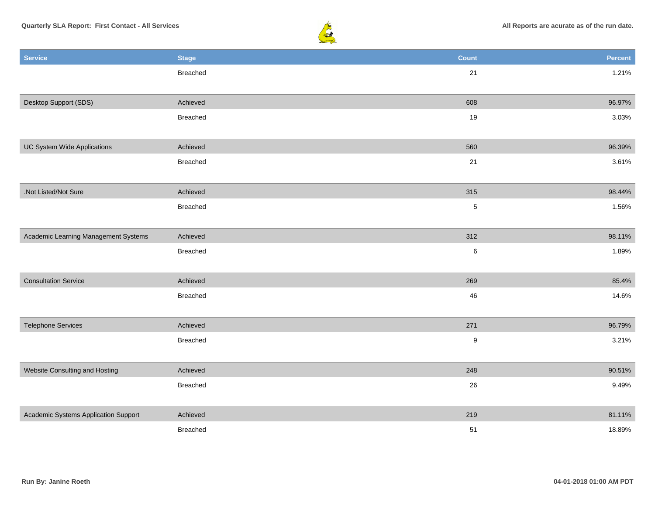

| <b>Service</b>                       | <b>Stage</b> | <b>Count</b>     | Percent |
|--------------------------------------|--------------|------------------|---------|
|                                      | Breached     | $21$             | 1.21%   |
|                                      |              |                  |         |
| Desktop Support (SDS)                | Achieved     | 608              | 96.97%  |
|                                      | Breached     | 19               | 3.03%   |
|                                      |              |                  |         |
| <b>UC System Wide Applications</b>   | Achieved     | 560              | 96.39%  |
|                                      | Breached     | 21               | 3.61%   |
|                                      |              |                  |         |
| .Not Listed/Not Sure                 | Achieved     | 315              | 98.44%  |
|                                      | Breached     | $\sqrt{5}$       | 1.56%   |
|                                      |              |                  |         |
| Academic Learning Management Systems | Achieved     | 312              | 98.11%  |
|                                      | Breached     | $\,6\,$          | 1.89%   |
|                                      |              |                  |         |
| <b>Consultation Service</b>          | Achieved     | 269              | 85.4%   |
|                                      | Breached     | $\sqrt{46}$      | 14.6%   |
|                                      |              |                  |         |
| <b>Telephone Services</b>            | Achieved     | 271              | 96.79%  |
|                                      | Breached     | $\boldsymbol{9}$ | 3.21%   |
|                                      |              |                  |         |
| Website Consulting and Hosting       | Achieved     | 248              | 90.51%  |
|                                      | Breached     | 26               | 9.49%   |
|                                      |              |                  |         |
| Academic Systems Application Support | Achieved     | 219              | 81.11%  |
|                                      | Breached     | 51               | 18.89%  |
|                                      |              |                  |         |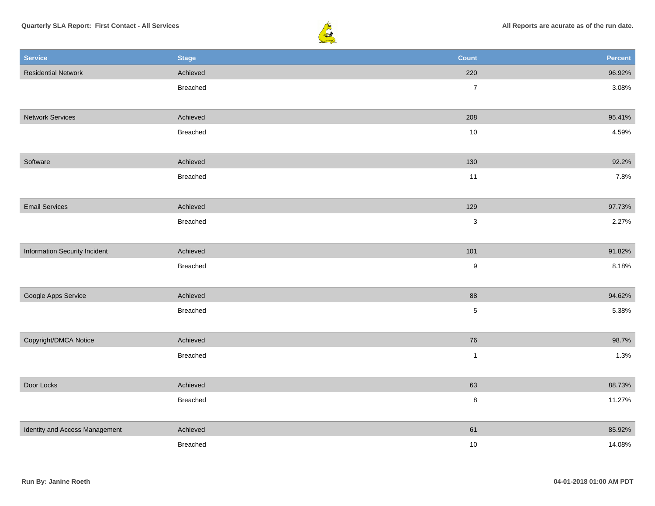

| <b>Service</b>                 | <b>Stage</b>    | <b>Count</b>     | Percent |
|--------------------------------|-----------------|------------------|---------|
| <b>Residential Network</b>     | Achieved        | 220              | 96.92%  |
|                                | Breached        | $\overline{7}$   | 3.08%   |
|                                |                 |                  |         |
| <b>Network Services</b>        | Achieved        | 208              | 95.41%  |
|                                | <b>Breached</b> | $10$             | 4.59%   |
|                                |                 |                  |         |
| Software                       | Achieved        | 130              | 92.2%   |
|                                | Breached        | 11               | 7.8%    |
|                                |                 |                  |         |
| <b>Email Services</b>          | Achieved        | 129              | 97.73%  |
|                                | <b>Breached</b> | $\sqrt{3}$       | 2.27%   |
|                                |                 |                  |         |
| Information Security Incident  | Achieved        | 101              | 91.82%  |
|                                | Breached        | $\boldsymbol{9}$ | 8.18%   |
|                                |                 |                  |         |
| Google Apps Service            | Achieved        | 88               | 94.62%  |
|                                | Breached        | $\sqrt{5}$       | 5.38%   |
|                                |                 |                  |         |
| Copyright/DMCA Notice          | Achieved        | 76               | 98.7%   |
|                                | Breached        | $\mathbf{1}$     | 1.3%    |
|                                |                 |                  |         |
| Door Locks                     | Achieved        | 63               | 88.73%  |
|                                | Breached        | $\,8\,$          | 11.27%  |
|                                |                 |                  |         |
| Identity and Access Management | Achieved        | 61               | 85.92%  |
|                                | <b>Breached</b> | $10$             | 14.08%  |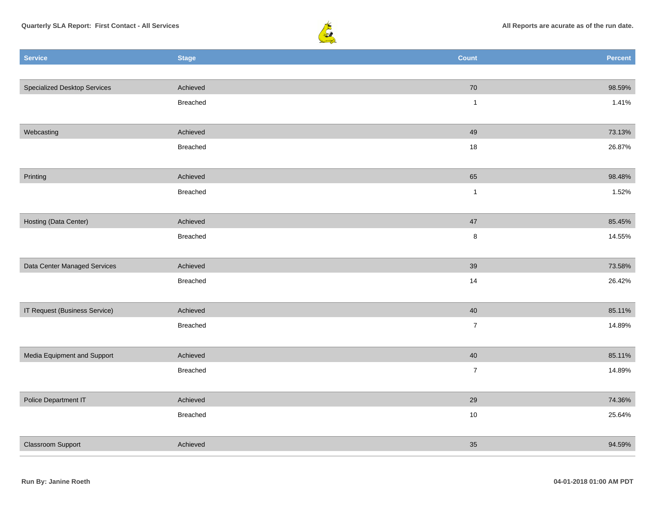



| <b>Service</b>                      | <b>Stage</b>    | <b>Count</b>   | Percent |
|-------------------------------------|-----------------|----------------|---------|
|                                     |                 |                |         |
| <b>Specialized Desktop Services</b> | Achieved        | 70             | 98.59%  |
|                                     | Breached        | $\mathbf{1}$   | 1.41%   |
|                                     |                 |                |         |
| Webcasting                          | Achieved        | 49             | 73.13%  |
|                                     | Breached        | 18             | 26.87%  |
|                                     |                 |                |         |
| Printing                            | Achieved        | 65             | 98.48%  |
|                                     | Breached        | $\mathbf{1}$   | 1.52%   |
|                                     |                 |                |         |
| Hosting (Data Center)               | Achieved        | $47\,$         | 85.45%  |
|                                     | Breached        | $\bf8$         | 14.55%  |
|                                     |                 |                |         |
| Data Center Managed Services        | Achieved        | 39             | 73.58%  |
|                                     | Breached        | 14             | 26.42%  |
|                                     |                 |                |         |
| IT Request (Business Service)       | Achieved        | 40             | 85.11%  |
|                                     | Breached        | $\overline{7}$ | 14.89%  |
|                                     |                 |                |         |
| Media Equipment and Support         | Achieved        | 40             | 85.11%  |
|                                     | <b>Breached</b> | $\bf 7$        | 14.89%  |
|                                     |                 |                |         |
| Police Department IT                | Achieved        | 29             | 74.36%  |
|                                     | Breached        | $10\,$         | 25.64%  |
|                                     |                 |                |         |
| Classroom Support                   | Achieved        | 35             | 94.59%  |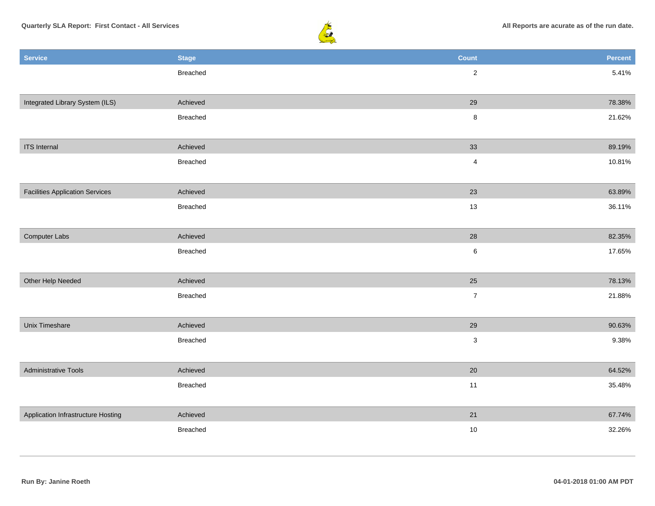

| <b>Service</b>                         | <b>Stage</b> | <b>Count</b>   | Percent |
|----------------------------------------|--------------|----------------|---------|
|                                        | Breached     | $\overline{2}$ | 5.41%   |
|                                        |              |                |         |
| Integrated Library System (ILS)        | Achieved     | 29             | 78.38%  |
|                                        | Breached     | $\bf8$         | 21.62%  |
|                                        |              |                |         |
| <b>ITS</b> Internal                    | Achieved     | 33             | 89.19%  |
|                                        | Breached     | $\overline{4}$ | 10.81%  |
|                                        |              |                |         |
| <b>Facilities Application Services</b> | Achieved     | 23             | 63.89%  |
|                                        | Breached     | 13             | 36.11%  |
|                                        |              |                |         |
| Computer Labs                          | Achieved     | 28             | 82.35%  |
|                                        | Breached     | $\,6\,$        | 17.65%  |
|                                        |              |                |         |
| Other Help Needed                      | Achieved     | 25             | 78.13%  |
|                                        | Breached     | $\overline{7}$ | 21.88%  |
|                                        |              |                |         |
| Unix Timeshare                         | Achieved     | 29             | 90.63%  |
|                                        | Breached     | $\mathbf{3}$   | 9.38%   |
|                                        |              |                |         |
| <b>Administrative Tools</b>            | Achieved     | 20             | 64.52%  |
|                                        | Breached     | 11             | 35.48%  |
|                                        |              |                |         |
| Application Infrastructure Hosting     | Achieved     | 21             | 67.74%  |
|                                        | Breached     | $10\,$         | 32.26%  |
|                                        |              |                |         |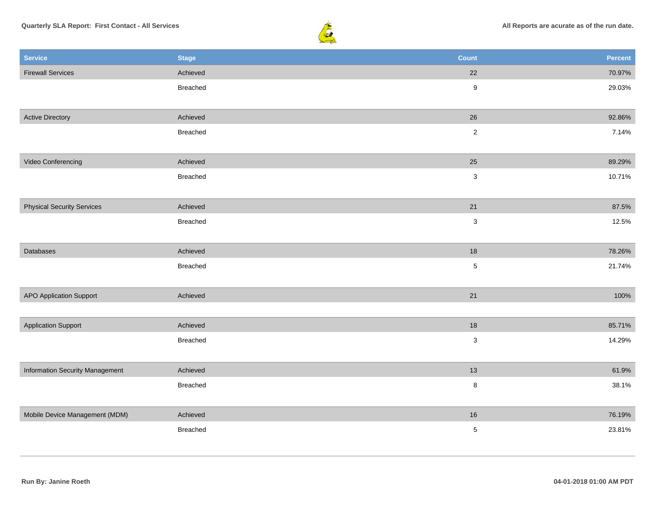

| <b>Service</b>                         | <b>Stage</b>    | <b>Count</b>     | Percent |
|----------------------------------------|-----------------|------------------|---------|
| <b>Firewall Services</b>               | Achieved        | 22               | 70.97%  |
|                                        | Breached        | $\boldsymbol{9}$ | 29.03%  |
|                                        |                 |                  |         |
| <b>Active Directory</b>                | Achieved        | 26               | 92.86%  |
|                                        | Breached        | $\sqrt{2}$       | 7.14%   |
|                                        |                 |                  |         |
| Video Conferencing                     | Achieved        | 25               | 89.29%  |
|                                        | Breached        | $\sqrt{3}$       | 10.71%  |
|                                        |                 |                  |         |
| <b>Physical Security Services</b>      | Achieved        | 21               | 87.5%   |
|                                        | <b>Breached</b> | $\mathbf{3}$     | 12.5%   |
|                                        |                 |                  |         |
| Databases                              | Achieved        | $18$             | 78.26%  |
|                                        | Breached        | $\sqrt{5}$       | 21.74%  |
|                                        |                 |                  |         |
| <b>APO Application Support</b>         | Achieved        | $21$             | 100%    |
|                                        |                 |                  |         |
| <b>Application Support</b>             | Achieved        | $18$             | 85.71%  |
|                                        | <b>Breached</b> | $\mathbf 3$      | 14.29%  |
|                                        |                 |                  |         |
| <b>Information Security Management</b> | Achieved        | 13               | 61.9%   |
|                                        | Breached        | $\bf 8$          | 38.1%   |
|                                        |                 |                  |         |
| Mobile Device Management (MDM)         | Achieved        | $16\,$           | 76.19%  |
|                                        | Breached        | $\sqrt{5}$       | 23.81%  |
|                                        |                 |                  |         |